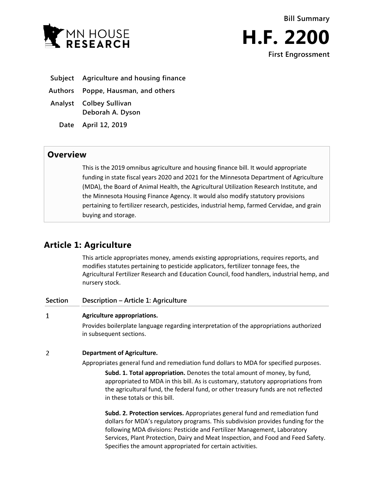



- **Subject Agriculture and housing finance**
- **Authors Poppe, Hausman, and others**
- **Analyst Colbey Sullivan Deborah A. Dyson**
	- **Date April 12, 2019**

### **Overview**

This is the 2019 omnibus agriculture and housing finance bill. It would appropriate funding in state fiscal years 2020 and 2021 for the Minnesota Department of Agriculture (MDA), the Board of Animal Health, the Agricultural Utilization Research Institute, and the Minnesota Housing Finance Agency. It would also modify statutory provisions pertaining to fertilizer research, pesticides, industrial hemp, farmed Cervidae, and grain buying and storage.

## **Article 1: Agriculture**

This article appropriates money, amends existing appropriations, requires reports, and modifies statutes pertaining to pesticide applicators, fertilizer tonnage fees, the Agricultural Fertilizer Research and Education Council, food handlers, industrial hemp, and nursery stock.

| Section | Description – Article 1: Agriculture                                                                                                                                                                                                                                                                                             |
|---------|----------------------------------------------------------------------------------------------------------------------------------------------------------------------------------------------------------------------------------------------------------------------------------------------------------------------------------|
| 1       | Agriculture appropriations.                                                                                                                                                                                                                                                                                                      |
|         | Provides boilerplate language regarding interpretation of the appropriations authorized<br>in subsequent sections.                                                                                                                                                                                                               |
| 2       | <b>Department of Agriculture.</b>                                                                                                                                                                                                                                                                                                |
|         | Appropriates general fund and remediation fund dollars to MDA for specified purposes.                                                                                                                                                                                                                                            |
|         | Subd. 1. Total appropriation. Denotes the total amount of money, by fund,<br>appropriated to MDA in this bill. As is customary, statutory appropriations from<br>the agricultural fund, the federal fund, or other treasury funds are not reflected<br>in these totals or this bill.                                             |
|         | Subd. 2. Protection services. Appropriates general fund and remediation fund<br>dollars for MDA's regulatory programs. This subdivision provides funding for the<br>following MDA divisions: Pesticide and Fertilizer Management, Laboratory<br>Services, Plant Protection, Dairy and Meat Inspection, and Food and Feed Safety. |

Specifies the amount appropriated for certain activities.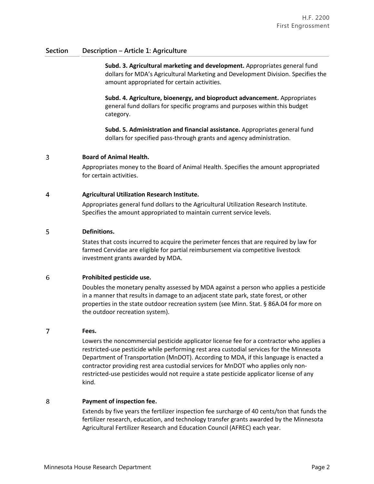**Subd. 3. Agricultural marketing and development.** Appropriates general fund dollars for MDA's Agricultural Marketing and Development Division. Specifies the amount appropriated for certain activities.

**Subd. 4. Agriculture, bioenergy, and bioproduct advancement.** Appropriates general fund dollars for specific programs and purposes within this budget category.

**Subd. 5. Administration and financial assistance.** Appropriates general fund dollars for specified pass-through grants and agency administration.

#### 3 **Board of Animal Health.**

Appropriates money to the Board of Animal Health. Specifies the amount appropriated for certain activities.

#### $\overline{4}$ **Agricultural Utilization Research Institute.**

Appropriates general fund dollars to the Agricultural Utilization Research Institute. Specifies the amount appropriated to maintain current service levels.

#### 5 **Definitions.**

States that costs incurred to acquire the perimeter fences that are required by law for farmed Cervidae are eligible for partial reimbursement via competitive livestock investment grants awarded by MDA.

#### 6 **Prohibited pesticide use.**

Doubles the monetary penalty assessed by MDA against a person who applies a pesticide in a manner that results in damage to an adjacent state park, state forest, or other properties in the state outdoor recreation system (see Minn. Stat. § 86A.04 for more on the outdoor recreation system).

#### 7 **Fees.**

Lowers the noncommercial pesticide applicator license fee for a contractor who applies a restricted-use pesticide while performing rest area custodial services for the Minnesota Department of Transportation (MnDOT). According to MDA, if this language is enacted a contractor providing rest area custodial services for MnDOT who applies only nonrestricted-use pesticides would not require a state pesticide applicator license of any kind.

#### 8 **Payment of inspection fee.**

Extends by five years the fertilizer inspection fee surcharge of 40 cents/ton that funds the fertilizer research, education, and technology transfer grants awarded by the Minnesota Agricultural Fertilizer Research and Education Council (AFREC) each year.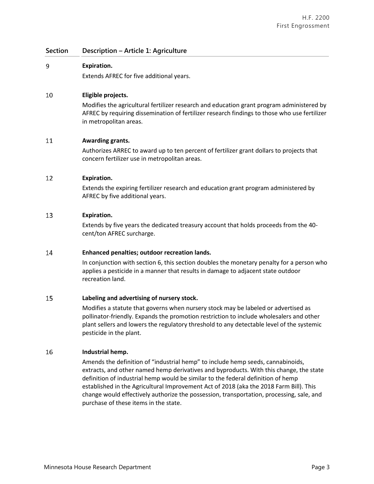#### 9 **Expiration.**

Extends AFREC for five additional years.

#### 10 **Eligible projects.**

Modifies the agricultural fertilizer research and education grant program administered by AFREC by requiring dissemination of fertilizer research findings to those who use fertilizer in metropolitan areas.

#### 11 **Awarding grants.**

Authorizes ARREC to award up to ten percent of fertilizer grant dollars to projects that concern fertilizer use in metropolitan areas.

#### 12 **Expiration.**

Extends the expiring fertilizer research and education grant program administered by AFREC by five additional years.

#### 13 **Expiration.**

Extends by five years the dedicated treasury account that holds proceeds from the 40 cent/ton AFREC surcharge.

#### 14 **Enhanced penalties; outdoor recreation lands.**

In conjunction with section 6, this section doubles the monetary penalty for a person who applies a pesticide in a manner that results in damage to adjacent state outdoor recreation land.

#### 15 **Labeling and advertising of nursery stock.**

Modifies a statute that governs when nursery stock may be labeled or advertised as pollinator-friendly. Expands the promotion restriction to include wholesalers and other plant sellers and lowers the regulatory threshold to any detectable level of the systemic pesticide in the plant.

#### 16 **Industrial hemp.**

Amends the definition of "industrial hemp" to include hemp seeds, cannabinoids, extracts, and other named hemp derivatives and byproducts. With this change, the state definition of industrial hemp would be similar to the federal definition of hemp established in the Agricultural Improvement Act of 2018 (aka the 2018 Farm Bill). This change would effectively authorize the possession, transportation, processing, sale, and purchase of these items in the state.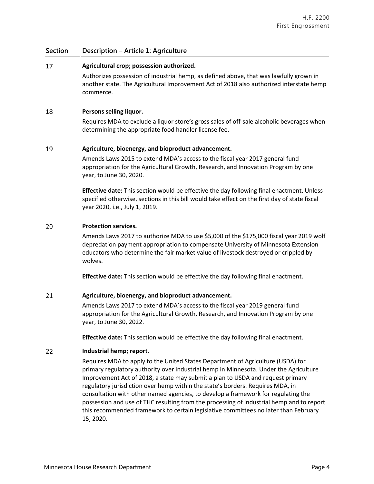#### 17 **Agricultural crop; possession authorized.**

Authorizes possession of industrial hemp, as defined above, that was lawfully grown in another state. The Agricultural Improvement Act of 2018 also authorized interstate hemp commerce.

#### 18 **Persons selling liquor.**

Requires MDA to exclude a liquor store's gross sales of off-sale alcoholic beverages when determining the appropriate food handler license fee.

#### 19 **Agriculture, bioenergy, and bioproduct advancement.**

Amends Laws 2015 to extend MDA's access to the fiscal year 2017 general fund appropriation for the Agricultural Growth, Research, and Innovation Program by one year, to June 30, 2020.

**Effective date:** This section would be effective the day following final enactment. Unless specified otherwise, sections in this bill would take effect on the first day of state fiscal year 2020, i.e., July 1, 2019.

#### 20 **Protection services.**

Amends Laws 2017 to authorize MDA to use \$5,000 of the \$175,000 fiscal year 2019 wolf depredation payment appropriation to compensate University of Minnesota Extension educators who determine the fair market value of livestock destroyed or crippled by wolves.

**Effective date:** This section would be effective the day following final enactment.

#### 21 **Agriculture, bioenergy, and bioproduct advancement.**

Amends Laws 2017 to extend MDA's access to the fiscal year 2019 general fund appropriation for the Agricultural Growth, Research, and Innovation Program by one year, to June 30, 2022.

**Effective date:** This section would be effective the day following final enactment.

#### 22 **Industrial hemp; report.**

Requires MDA to apply to the United States Department of Agriculture (USDA) for primary regulatory authority over industrial hemp in Minnesota. Under the Agriculture Improvement Act of 2018, a state may submit a plan to USDA and request primary regulatory jurisdiction over hemp within the state's borders. Requires MDA, in consultation with other named agencies, to develop a framework for regulating the possession and use of THC resulting from the processing of industrial hemp and to report this recommended framework to certain legislative committees no later than February 15, 2020.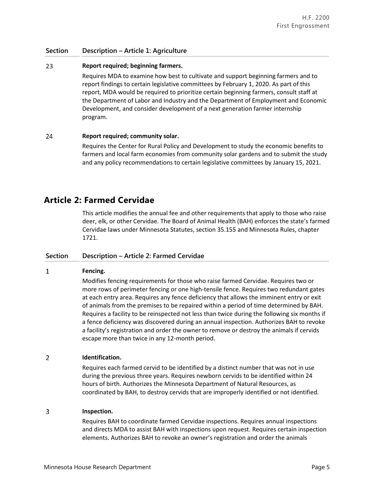#### 23 **Report required; beginning farmers.**

Requires MDA to examine how best to cultivate and support beginning farmers and to report findings to certain legislative committees by February 1, 2020. As part of this report, MDA would be required to prioritize certain beginning farmers, consult staff at the Department of Labor and Industry and the Department of Employment and Economic Development, and consider development of a next generation farmer internship program.

#### 24 **Report required; community solar.**

Requires the Center for Rural Policy and Development to study the economic benefits to farmers and local farm economies from community solar gardens and to submit the study and any policy recommendations to certain legislative committees by January 15, 2021.

## **Article 2: Farmed Cervidae**

This article modifies the annual fee and other requirements that apply to those who raise deer, elk, or other Cervidae. The Board of Animal Health (BAH) enforces the state's farmed Cervidae laws under Minnesota Statutes, section 35.155 and Minnesota Rules, chapter 1721.

### **Section Description – Article 2: Farmed Cervidae**

#### $\mathbf{1}$ **Fencing.**

Modifies fencing requirements for those who raise farmed Cervidae. Requires two or more rows of perimeter fencing or one high-tensile fence. Requires two redundant gates at each entry area. Requires any fence deficiency that allows the imminent entry or exit of animals from the premises to be repaired within a period of time determined by BAH. Requires a facility to be reinspected not less than twice during the following six months if a fence deficiency was discovered during an annual inspection. Authorizes BAH to revoke a facility's registration and order the owner to remove or destroy the animals if cervids escape more than twice in any 12-month period.

#### $\overline{2}$ **Identification.**

Requires each farmed cervid to be identified by a distinct number that was not in use during the previous three years. Requires newborn cervids to be identified within 24 hours of birth. Authorizes the Minnesota Department of Natural Resources, as coordinated by BAH, to destroy cervids that are improperly identified or not identified.

#### 3 **Inspection.**

Requires BAH to coordinate farmed Cervidae inspections. Requires annual inspections and directs MDA to assist BAH with inspections upon request. Requires certain inspection elements. Authorizes BAH to revoke an owner's registration and order the animals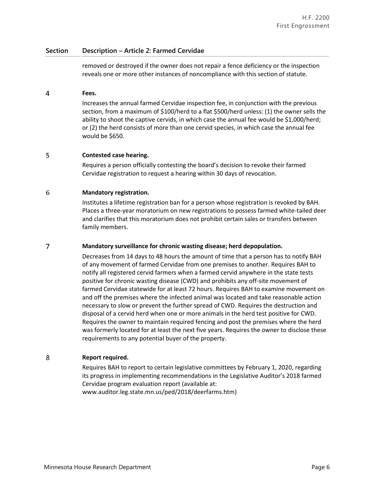### **Section Description – Article 2: Farmed Cervidae**

removed or destroyed if the owner does not repair a fence deficiency or the inspection reveals one or more other instances of noncompliance with this section of statute.

#### $\overline{4}$ **Fees.**

Increases the annual farmed Cervidae inspection fee, in conjunction with the previous section, from a maximum of \$100/herd to a flat \$500/herd unless: (1) the owner sells the ability to shoot the captive cervids, in which case the annual fee would be \$1,000/herd; or (2) the herd consists of more than one cervid species, in which case the annual fee would be \$650.

#### 5 **Contested case hearing.**

Requires a person officially contesting the board's decision to revoke their farmed Cervidae registration to request a hearing within 30 days of revocation.

#### 6 **Mandatory registration.**

Institutes a lifetime registration ban for a person whose registration is revoked by BAH. Places a three-year moratorium on new registrations to possess farmed white-tailed deer and clarifies that this moratorium does not prohibit certain sales or transfers between family members.

#### $\overline{7}$ **Mandatory surveillance for chronic wasting disease; herd depopulation.**

Decreases from 14 days to 48 hours the amount of time that a person has to notify BAH of any movement of farmed Cervidae from one premises to another. Requires BAH to notify all registered cervid farmers when a farmed cervid anywhere in the state tests positive for chronic wasting disease (CWD) and prohibits any off-site movement of farmed Cervidae statewide for at least 72 hours. Requires BAH to examine movement on and off the premises where the infected animal was located and take reasonable action necessary to slow or prevent the further spread of CWD. Requires the destruction and disposal of a cervid herd when one or more animals in the herd test positive for CWD. Requires the owner to maintain required fencing and post the premises where the herd was formerly located for at least the next five years. Requires the owner to disclose these requirements to any potential buyer of the property.

#### 8 **Report required.**

Requires BAH to report to certain legislative committees by February 1, 2020, regarding its progress in implementing recommendations in the Legislative Auditor's 2018 farmed Cervidae program evaluation report (available at: www.auditor.leg.state.mn.us/ped/2018/deerfarms.htm)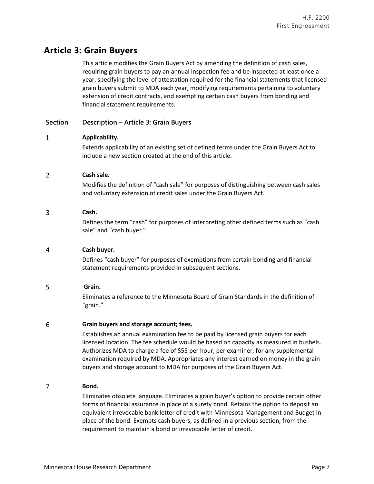## **Article 3: Grain Buyers**

This article modifies the Grain Buyers Act by amending the definition of cash sales, requiring grain buyers to pay an annual inspection fee and be inspected at least once a year, specifying the level of attestation required for the financial statements that licensed grain buyers submit to MDA each year, modifying requirements pertaining to voluntary extension of credit contracts, and exempting certain cash buyers from bonding and financial statement requirements.

### **Section Description – Article 3: Grain Buyers**

#### $\mathbf{1}$ **Applicability.**

Extends applicability of an existing set of defined terms under the Grain Buyers Act to include a new section created at the end of this article.

#### $\overline{2}$ **Cash sale.**

Modifies the definition of "cash sale" for purposes of distinguishing between cash sales and voluntary extension of credit sales under the Grain Buyers Act.

#### 3 **Cash.**

Defines the term "cash" for purposes of interpreting other defined terms such as "cash sale" and "cash buyer."

#### $\overline{4}$ **Cash buyer.**

Defines "cash buyer" for purposes of exemptions from certain bonding and financial statement requirements provided in subsequent sections.

#### 5 **Grain.**

Eliminates a reference to the Minnesota Board of Grain Standards in the definition of "grain."

#### 6 **Grain buyers and storage account; fees.**

Establishes an annual examination fee to be paid by licensed grain buyers for each licensed location. The fee schedule would be based on capacity as measured in bushels. Authorizes MDA to charge a fee of \$55 per hour, per examiner, for any supplemental examination required by MDA. Appropriates any interest earned on money in the grain buyers and storage account to MDA for purposes of the Grain Buyers Act.

#### $\overline{7}$ **Bond.**

Eliminates obsolete language. Eliminates a grain buyer's option to provide certain other forms of financial assurance in place of a surety bond. Retains the option to deposit an equivalent irrevocable bank letter of credit with Minnesota Management and Budget in place of the bond. Exempts cash buyers, as defined in a previous section, from the requirement to maintain a bond or irrevocable letter of credit.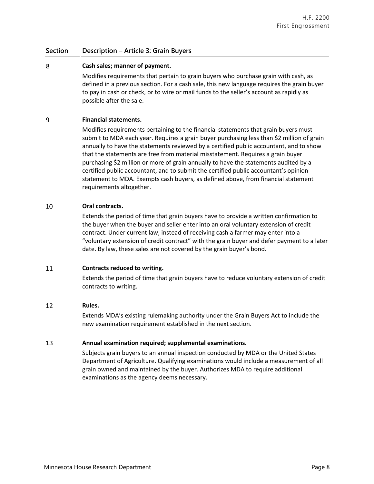### **Section Description – Article 3: Grain Buyers**

#### 8 **Cash sales; manner of payment.**

Modifies requirements that pertain to grain buyers who purchase grain with cash, as defined in a previous section. For a cash sale, this new language requires the grain buyer to pay in cash or check, or to wire or mail funds to the seller's account as rapidly as possible after the sale.

#### 9 **Financial statements.**

Modifies requirements pertaining to the financial statements that grain buyers must submit to MDA each year. Requires a grain buyer purchasing less than \$2 million of grain annually to have the statements reviewed by a certified public accountant, and to show that the statements are free from material misstatement. Requires a grain buyer purchasing \$2 million or more of grain annually to have the statements audited by a certified public accountant, and to submit the certified public accountant's opinion statement to MDA. Exempts cash buyers, as defined above, from financial statement requirements altogether.

#### 10 **Oral contracts.**

Extends the period of time that grain buyers have to provide a written confirmation to the buyer when the buyer and seller enter into an oral voluntary extension of credit contract. Under current law, instead of receiving cash a farmer may enter into a "voluntary extension of credit contract" with the grain buyer and defer payment to a later date. By law, these sales are not covered by the grain buyer's bond.

#### 11 **Contracts reduced to writing.**

Extends the period of time that grain buyers have to reduce voluntary extension of credit contracts to writing.

#### 12 **Rules.**

Extends MDA's existing rulemaking authority under the Grain Buyers Act to include the new examination requirement established in the next section.

#### 13 **Annual examination required; supplemental examinations.**

Subjects grain buyers to an annual inspection conducted by MDA or the United States Department of Agriculture. Qualifying examinations would include a measurement of all grain owned and maintained by the buyer. Authorizes MDA to require additional examinations as the agency deems necessary.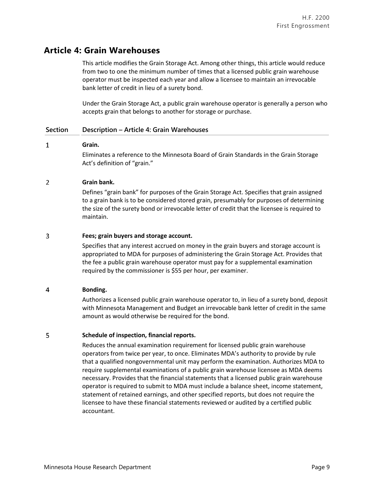## **Article 4: Grain Warehouses**

This article modifies the Grain Storage Act. Among other things, this article would reduce from two to one the minimum number of times that a licensed public grain warehouse operator must be inspected each year and allow a licensee to maintain an irrevocable bank letter of credit in lieu of a surety bond.

Under the Grain Storage Act, a public grain warehouse operator is generally a person who accepts grain that belongs to another for storage or purchase.

### **Section Description – Article 4: Grain Warehouses**

#### $\mathbf{1}$ **Grain.**

Eliminates a reference to the Minnesota Board of Grain Standards in the Grain Storage Act's definition of "grain."

#### $\overline{2}$ **Grain bank.**

Defines "grain bank" for purposes of the Grain Storage Act. Specifies that grain assigned to a grain bank is to be considered stored grain, presumably for purposes of determining the size of the surety bond or irrevocable letter of credit that the licensee is required to maintain.

#### 3 **Fees; grain buyers and storage account.**

Specifies that any interest accrued on money in the grain buyers and storage account is appropriated to MDA for purposes of administering the Grain Storage Act. Provides that the fee a public grain warehouse operator must pay for a supplemental examination required by the commissioner is \$55 per hour, per examiner.

#### $\overline{\mathbf{4}}$ **Bonding.**

Authorizes a licensed public grain warehouse operator to, in lieu of a surety bond, deposit with Minnesota Management and Budget an irrevocable bank letter of credit in the same amount as would otherwise be required for the bond.

#### 5 **Schedule of inspection, financial reports.**

Reduces the annual examination requirement for licensed public grain warehouse operators from twice per year, to once. Eliminates MDA's authority to provide by rule that a qualified nongovernmental unit may perform the examination. Authorizes MDA to require supplemental examinations of a public grain warehouse licensee as MDA deems necessary. Provides that the financial statements that a licensed public grain warehouse operator is required to submit to MDA must include a balance sheet, income statement, statement of retained earnings, and other specified reports, but does not require the licensee to have these financial statements reviewed or audited by a certified public accountant.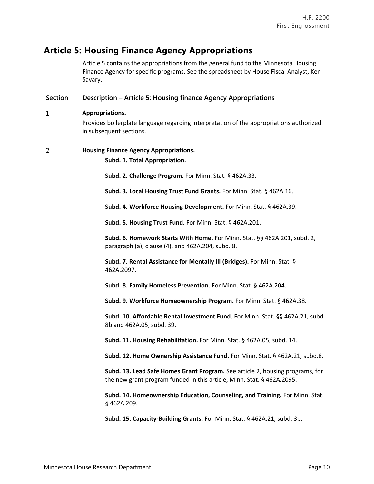# **Article 5: Housing Finance Agency Appropriations**

Article 5 contains the appropriations from the general fund to the Minnesota Housing Finance Agency for specific programs. See the spreadsheet by House Fiscal Analyst, Ken Savary.

| <b>Section</b> | Description - Article 5: Housing finance Agency Appropriations                                                                                          |
|----------------|---------------------------------------------------------------------------------------------------------------------------------------------------------|
| 1              | Appropriations.                                                                                                                                         |
|                | Provides boilerplate language regarding interpretation of the appropriations authorized<br>in subsequent sections.                                      |
| 2              | <b>Housing Finance Agency Appropriations.</b>                                                                                                           |
|                | Subd. 1. Total Appropriation.                                                                                                                           |
|                | Subd. 2. Challenge Program. For Minn. Stat. § 462A.33.                                                                                                  |
|                | Subd. 3. Local Housing Trust Fund Grants. For Minn. Stat. § 462A.16.                                                                                    |
|                | Subd. 4. Workforce Housing Development. For Minn. Stat. § 462A.39.                                                                                      |
|                | Subd. 5. Housing Trust Fund. For Minn. Stat. § 462A.201.                                                                                                |
|                | Subd. 6. Homework Starts With Home. For Minn. Stat. §§ 462A.201, subd. 2,<br>paragraph (a), clause (4), and 462A.204, subd. 8.                          |
|                | Subd. 7. Rental Assistance for Mentally III (Bridges). For Minn. Stat. §<br>462A.2097.                                                                  |
|                | Subd. 8. Family Homeless Prevention. For Minn. Stat. § 462A.204.                                                                                        |
|                | Subd. 9. Workforce Homeownership Program. For Minn. Stat. § 462A.38.                                                                                    |
|                | Subd. 10. Affordable Rental Investment Fund. For Minn. Stat. §§ 462A.21, subd.<br>8b and 462A.05, subd. 39.                                             |
|                | Subd. 11. Housing Rehabilitation. For Minn. Stat. § 462A.05, subd. 14.                                                                                  |
|                | Subd. 12. Home Ownership Assistance Fund. For Minn. Stat. § 462A.21, subd.8.                                                                            |
|                | Subd. 13. Lead Safe Homes Grant Program. See article 2, housing programs, for<br>the new grant program funded in this article, Minn. Stat. § 462A.2095. |
|                | Subd. 14. Homeownership Education, Counseling, and Training. For Minn. Stat.<br>§462A.209.                                                              |
|                | Subd. 15. Capacity-Building Grants. For Minn. Stat. § 462A.21, subd. 3b.                                                                                |